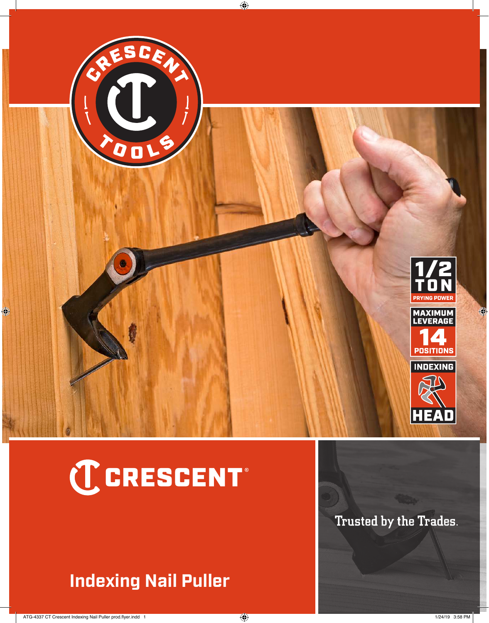

## C CRESCENT®

## **Indexing Nail Puller**

Trusted by the Trades.